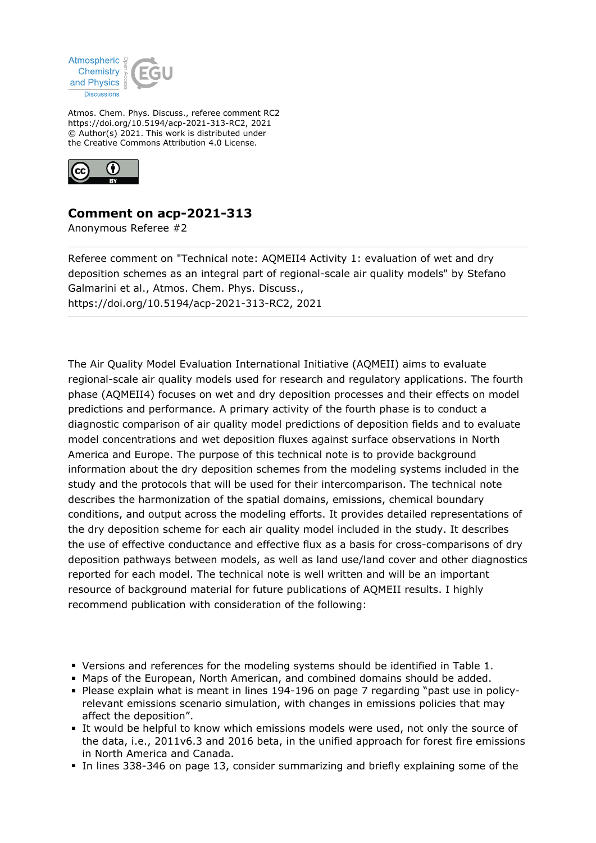

Atmos. Chem. Phys. Discuss., referee comment RC2 https://doi.org/10.5194/acp-2021-313-RC2, 2021 © Author(s) 2021. This work is distributed under the Creative Commons Attribution 4.0 License.



## **Comment on acp-2021-313**

Anonymous Referee #2

Referee comment on "Technical note: AQMEII4 Activity 1: evaluation of wet and dry deposition schemes as an integral part of regional-scale air quality models" by Stefano Galmarini et al., Atmos. Chem. Phys. Discuss., https://doi.org/10.5194/acp-2021-313-RC2, 2021

The Air Quality Model Evaluation International Initiative (AQMEII) aims to evaluate regional-scale air quality models used for research and regulatory applications. The fourth phase (AQMEII4) focuses on wet and dry deposition processes and their effects on model predictions and performance. A primary activity of the fourth phase is to conduct a diagnostic comparison of air quality model predictions of deposition fields and to evaluate model concentrations and wet deposition fluxes against surface observations in North America and Europe. The purpose of this technical note is to provide background information about the dry deposition schemes from the modeling systems included in the study and the protocols that will be used for their intercomparison. The technical note describes the harmonization of the spatial domains, emissions, chemical boundary conditions, and output across the modeling efforts. It provides detailed representations of the dry deposition scheme for each air quality model included in the study. It describes the use of effective conductance and effective flux as a basis for cross-comparisons of dry deposition pathways between models, as well as land use/land cover and other diagnostics reported for each model. The technical note is well written and will be an important resource of background material for future publications of AQMEII results. I highly recommend publication with consideration of the following:

- Versions and references for the modeling systems should be identified in Table 1.
- Maps of the European, North American, and combined domains should be added.
- Please explain what is meant in lines 194-196 on page 7 regarding "past use in policyrelevant emissions scenario simulation, with changes in emissions policies that may affect the deposition".
- It would be helpful to know which emissions models were used, not only the source of the data, i.e., 2011v6.3 and 2016 beta, in the unified approach for forest fire emissions in North America and Canada.
- In lines 338-346 on page 13, consider summarizing and briefly explaining some of the